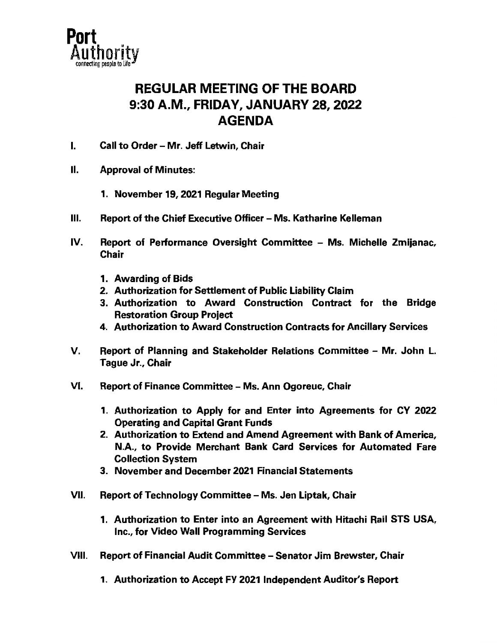

## REGULAR MEETING OF THE BOARD 9:30 A.M., FRIDAY, JANUARY 28, 2022 AGENDA

- I. Call to Order Mr. Jeff Letwin, Chair
- II. Approval of Minutes:
	- 1. November 19, 2021 Regular Meeting
- III. Report of the Chief Executive Officer Ms. Katharine Kelleman
- IV. Report of Performance Oversight Committee Ms. Michelle Zmijanac, **Chair** 
	- 1. Awarding of **Bids**
	- 2. Authorization for Settlement of Public Liability Claim
	- 3. Authorization to Award Construction Contract for the Bridge Restoration Group Project
	- 4. Authorization to Award Construction Contracts for Ancillary Services
- V. Report of Planning and Stakeholder Relations Committee Mr. John L. Tague Jr., Chair
- VI. Report of Finance Committee Ms. Ann Ogoreuc, Chair
	- 1. Authorization to Apply for and Enter into Agreements for CY 2022 Operating and Capital Grant Funds
	- 2. Authorization to Extend and Amend Agreement with **Bank** of America, N.A., to Provide Merchant **Bank** Card Services for Automated Fare Collection System
	- 3. November and December 2021 Financial Statements
- VII. Report of Technology Committee Ms. Jen Liptak, Chair
	- 1. Authorization to Enter into an Agreement with Hitachi Rail STS USA, Inc., for Video Wall Programming Services
- VIII. Report of Financial Audit Committee Senator Jim Brewster, Chair
	- 1. Authorization to Accept FY 2021 Independent Auditor's Report